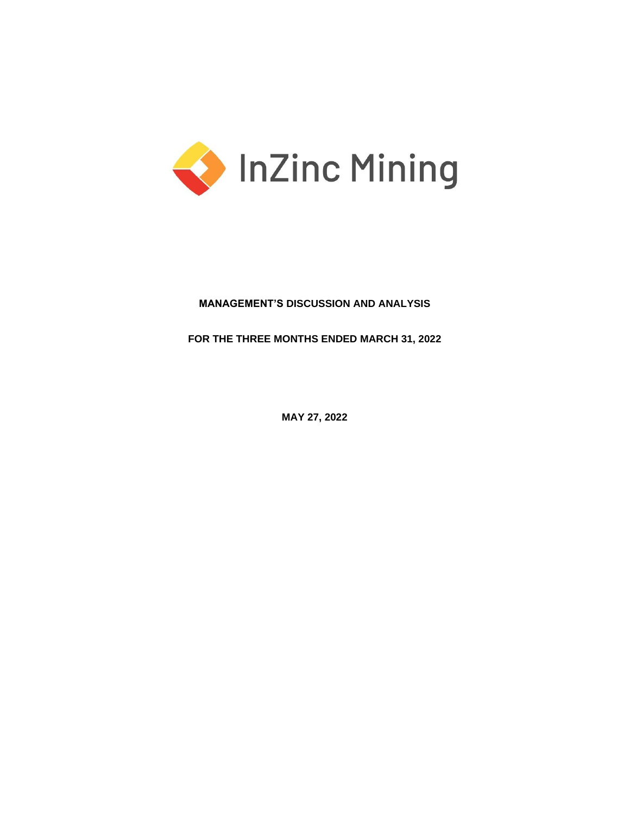

# **MANAGEMENT'S DISCUSSION AND ANALYSIS**

**FOR THE THREE MONTHS ENDED MARCH 31, 2022**

**MAY 27, 2022**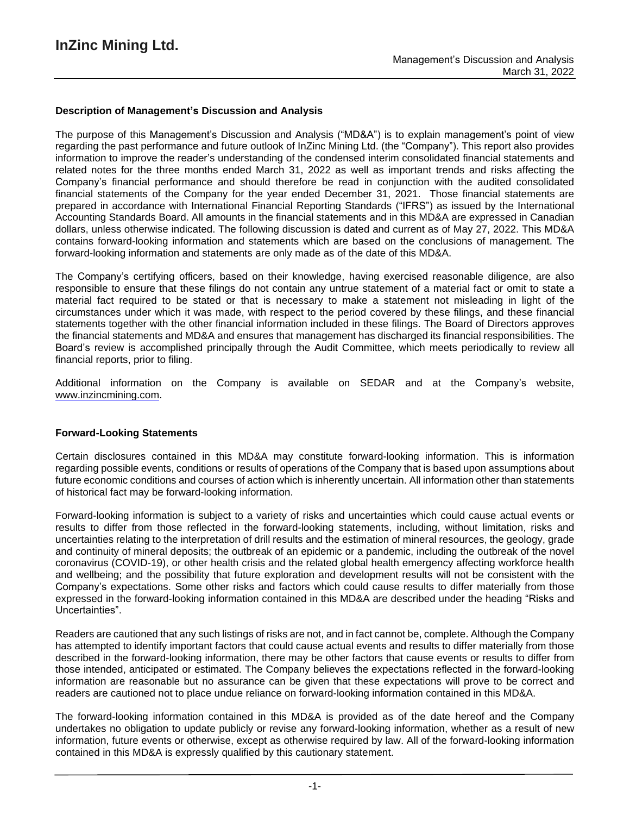# **Description of Management's Discussion and Analysis**

The purpose of this Management's Discussion and Analysis ("MD&A") is to explain management's point of view regarding the past performance and future outlook of InZinc Mining Ltd. (the "Company"). This report also provides information to improve the reader's understanding of the condensed interim consolidated financial statements and related notes for the three months ended March 31, 2022 as well as important trends and risks affecting the Company's financial performance and should therefore be read in conjunction with the audited consolidated financial statements of the Company for the year ended December 31, 2021. Those financial statements are prepared in accordance with International Financial Reporting Standards ("IFRS") as issued by the International Accounting Standards Board. All amounts in the financial statements and in this MD&A are expressed in Canadian dollars, unless otherwise indicated. The following discussion is dated and current as of May 27, 2022. This MD&A contains forward-looking information and statements which are based on the conclusions of management. The forward-looking information and statements are only made as of the date of this MD&A.

The Company's certifying officers, based on their knowledge, having exercised reasonable diligence, are also responsible to ensure that these filings do not contain any untrue statement of a material fact or omit to state a material fact required to be stated or that is necessary to make a statement not misleading in light of the circumstances under which it was made, with respect to the period covered by these filings, and these financial statements together with the other financial information included in these filings. The Board of Directors approves the financial statements and MD&A and ensures that management has discharged its financial responsibilities. The Board's review is accomplished principally through the Audit Committee, which meets periodically to review all financial reports, prior to filing.

Additional information on the Company is available on SEDAR and at the Company's website, www.inzincmining.com.

## **Forward-Looking Statements**

Certain disclosures contained in this MD&A may constitute forward-looking information. This is information regarding possible events, conditions or results of operations of the Company that is based upon assumptions about future economic conditions and courses of action which is inherently uncertain. All information other than statements of historical fact may be forward-looking information.

Forward-looking information is subject to a variety of risks and uncertainties which could cause actual events or results to differ from those reflected in the forward-looking statements, including, without limitation, risks and uncertainties relating to the interpretation of drill results and the estimation of mineral resources, the geology, grade and continuity of mineral deposits; the outbreak of an epidemic or a pandemic, including the outbreak of the novel coronavirus (COVID-19), or other health crisis and the related global health emergency affecting workforce health and wellbeing; and the possibility that future exploration and development results will not be consistent with the Company's expectations. Some other risks and factors which could cause results to differ materially from those expressed in the forward-looking information contained in this MD&A are described under the heading "Risks and Uncertainties".

Readers are cautioned that any such listings of risks are not, and in fact cannot be, complete. Although the Company has attempted to identify important factors that could cause actual events and results to differ materially from those described in the forward-looking information, there may be other factors that cause events or results to differ from those intended, anticipated or estimated. The Company believes the expectations reflected in the forward-looking information are reasonable but no assurance can be given that these expectations will prove to be correct and readers are cautioned not to place undue reliance on forward-looking information contained in this MD&A.

The forward-looking information contained in this MD&A is provided as of the date hereof and the Company undertakes no obligation to update publicly or revise any forward-looking information, whether as a result of new information, future events or otherwise, except as otherwise required by law. All of the forward-looking information contained in this MD&A is expressly qualified by this cautionary statement.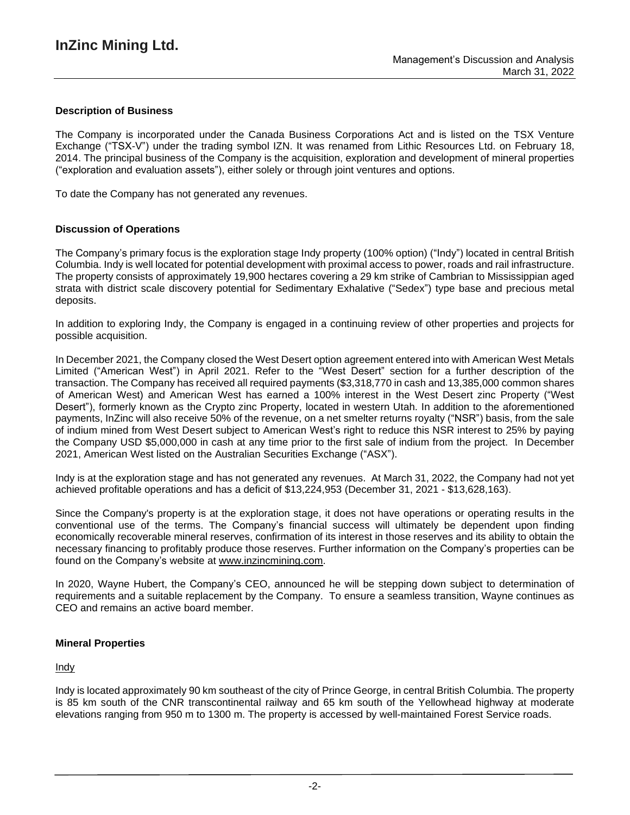# **Description of Business**

The Company is incorporated under the Canada Business Corporations Act and is listed on the TSX Venture Exchange ("TSX-V") under the trading symbol IZN. It was renamed from Lithic Resources Ltd. on February 18, 2014. The principal business of the Company is the acquisition, exploration and development of mineral properties ("exploration and evaluation assets"), either solely or through joint ventures and options.

To date the Company has not generated any revenues.

# **Discussion of Operations**

The Company's primary focus is the exploration stage Indy property (100% option) ("Indy") located in central British Columbia. Indy is well located for potential development with proximal access to power, roads and rail infrastructure. The property consists of approximately 19,900 hectares covering a 29 km strike of Cambrian to Mississippian aged strata with district scale discovery potential for Sedimentary Exhalative ("Sedex") type base and precious metal deposits.

In addition to exploring Indy, the Company is engaged in a continuing review of other properties and projects for possible acquisition.

In December 2021, the Company closed the West Desert option agreement entered into with American West Metals Limited ("American West") in April 2021. Refer to the "West Desert" section for a further description of the transaction. The Company has received all required payments (\$3,318,770 in cash and 13,385,000 common shares of American West) and American West has earned a 100% interest in the West Desert zinc Property ("West Desert"), formerly known as the Crypto zinc Property, located in western Utah. In addition to the aforementioned payments, InZinc will also receive 50% of the revenue, on a net smelter returns royalty ("NSR") basis, from the sale of indium mined from West Desert subject to American West's right to reduce this NSR interest to 25% by paying the Company USD \$5,000,000 in cash at any time prior to the first sale of indium from the project. In December 2021, American West listed on the Australian Securities Exchange ("ASX").

Indy is at the exploration stage and has not generated any revenues. At March 31, 2022, the Company had not yet achieved profitable operations and has a deficit of \$13,224,953 (December 31, 2021 - \$13,628,163).

Since the Company's property is at the exploration stage, it does not have operations or operating results in the conventional use of the terms. The Company's financial success will ultimately be dependent upon finding economically recoverable mineral reserves, confirmation of its interest in those reserves and its ability to obtain the necessary financing to profitably produce those reserves. Further information on the Company's properties can be found on the Company's website at [www.inzincmining.com.](about:blank)

In 2020, Wayne Hubert, the Company's CEO, announced he will be stepping down subject to determination of requirements and a suitable replacement by the Company. To ensure a seamless transition, Wayne continues as CEO and remains an active board member.

## **Mineral Properties**

## Indy

Indy is located approximately 90 km southeast of the city of Prince George, in central British Columbia. The property is 85 km south of the CNR transcontinental railway and 65 km south of the Yellowhead highway at moderate elevations ranging from 950 m to 1300 m. The property is accessed by well-maintained Forest Service roads.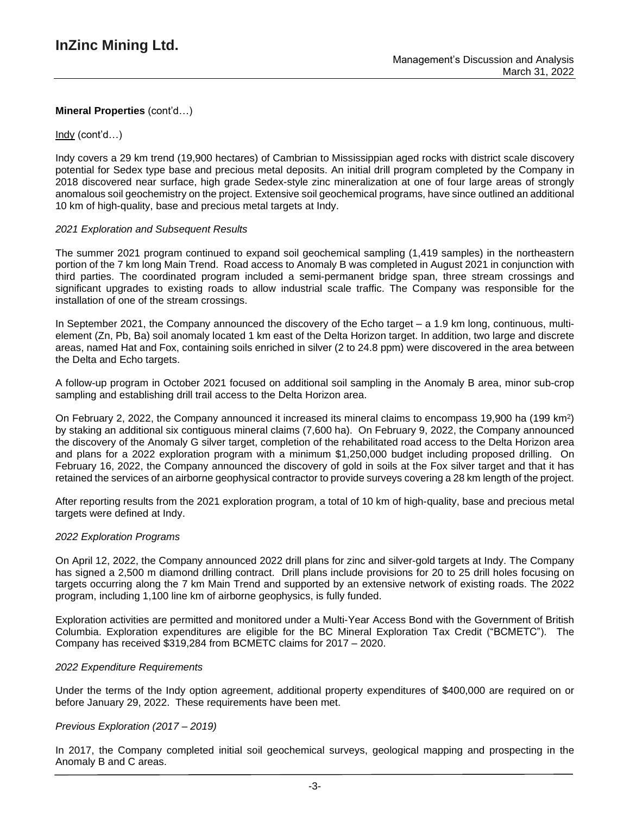# Indy (cont'd…)

Indy covers a 29 km trend (19,900 hectares) of Cambrian to Mississippian aged rocks with district scale discovery potential for Sedex type base and precious metal deposits. An initial drill program completed by the Company in 2018 discovered near surface, high grade Sedex-style zinc mineralization at one of four large areas of strongly anomalous soil geochemistry on the project. Extensive soil geochemical programs, have since outlined an additional 10 km of high-quality, base and precious metal targets at Indy.

## *2021 Exploration and Subsequent Results*

The summer 2021 program continued to expand soil geochemical sampling (1,419 samples) in the northeastern portion of the 7 km long Main Trend. Road access to Anomaly B was completed in August 2021 in conjunction with third parties. The coordinated program included a semi-permanent bridge span, three stream crossings and significant upgrades to existing roads to allow industrial scale traffic. The Company was responsible for the installation of one of the stream crossings.

In September 2021, the Company announced the discovery of the Echo target – a 1.9 km long, continuous, multielement (Zn, Pb, Ba) soil anomaly located 1 km east of the Delta Horizon target. In addition, two large and discrete areas, named Hat and Fox, containing soils enriched in silver (2 to 24.8 ppm) were discovered in the area between the Delta and Echo targets.

A follow-up program in October 2021 focused on additional soil sampling in the Anomaly B area, minor sub-crop sampling and establishing drill trail access to the Delta Horizon area.

On February 2, 2022, the Company announced it increased its mineral claims to encompass 19,900 ha (199 km<sup>2</sup>) by staking an additional six contiguous mineral claims (7,600 ha). On February 9, 2022, the Company announced the discovery of the Anomaly G silver target, completion of the rehabilitated road access to the Delta Horizon area and plans for a 2022 exploration program with a minimum \$1,250,000 budget including proposed drilling. On February 16, 2022, the Company announced the discovery of gold in soils at the Fox silver target and that it has retained the services of an airborne geophysical contractor to provide surveys covering a 28 km length of the project.

After reporting results from the 2021 exploration program, a total of 10 km of high-quality, base and precious metal targets were defined at Indy.

## *2022 Exploration Programs*

On April 12, 2022, the Company announced 2022 drill plans for zinc and silver-gold targets at Indy. The Company has signed a 2,500 m diamond drilling contract. Drill plans include provisions for 20 to 25 drill holes focusing on targets occurring along the 7 km Main Trend and supported by an extensive network of existing roads. The 2022 program, including 1,100 line km of airborne geophysics, is fully funded.

Exploration activities are permitted and monitored under a Multi-Year Access Bond with the Government of British Columbia. Exploration expenditures are eligible for the BC Mineral Exploration Tax Credit ("BCMETC"). The Company has received \$319,284 from BCMETC claims for 2017 – 2020.

## *2022 Expenditure Requirements*

Under the terms of the Indy option agreement, additional property expenditures of \$400,000 are required on or before January 29, 2022. These requirements have been met.

## *Previous Exploration (2017 – 2019)*

In 2017, the Company completed initial soil geochemical surveys, geological mapping and prospecting in the Anomaly B and C areas.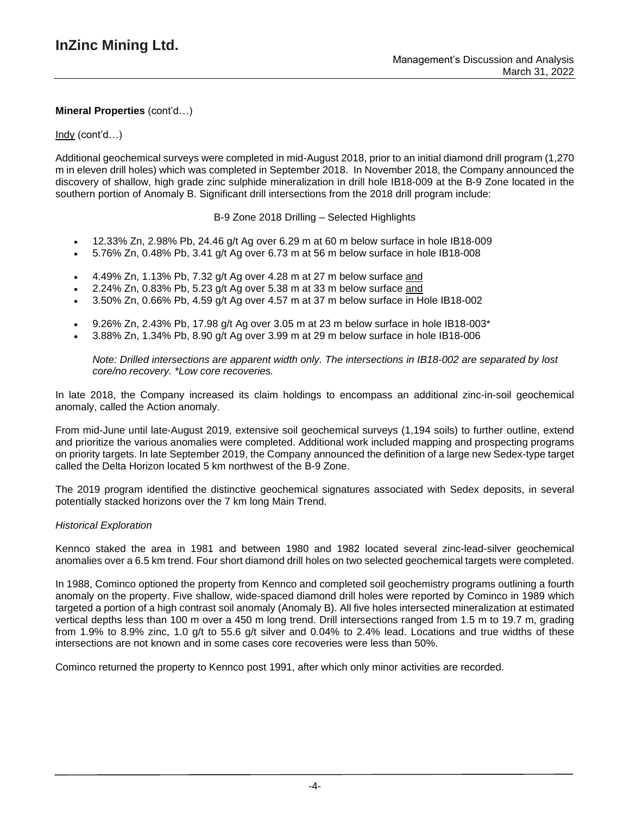# Indy (cont'd…)

Additional geochemical surveys were completed in mid-August 2018, prior to an initial diamond drill program (1,270 m in eleven drill holes) which was completed in September 2018. In November 2018, the Company announced the discovery of shallow, high grade zinc sulphide mineralization in drill hole IB18-009 at the B-9 Zone located in the southern portion of Anomaly B. Significant drill intersections from the 2018 drill program include:

B-9 Zone 2018 Drilling – Selected Highlights

- 12.33% Zn, 2.98% Pb, 24.46 g/t Ag over 6.29 m at 60 m below surface in hole IB18-009
- 5.76% Zn, 0.48% Pb, 3.41 g/t Ag over 6.73 m at 56 m below surface in hole IB18-008
- 4.49% Zn, 1.13% Pb, 7.32 g/t Ag over 4.28 m at 27 m below surface and
- 2.24% Zn, 0.83% Pb, 5.23 g/t Ag over 5.38 m at 33 m below surface and
- 3.50% Zn, 0.66% Pb, 4.59 g/t Ag over 4.57 m at 37 m below surface in Hole IB18-002
- 9.26% Zn, 2.43% Pb, 17.98 g/t Ag over 3.05 m at 23 m below surface in hole IB18-003\*
- 3.88% Zn, 1.34% Pb, 8.90 g/t Ag over 3.99 m at 29 m below surface in hole IB18-006

*Note: Drilled intersections are apparent width only. The intersections in IB18-002 are separated by lost core/no recovery. \*Low core recoveries.*

In late 2018, the Company increased its claim holdings to encompass an additional zinc-in-soil geochemical anomaly, called the Action anomaly.

From mid-June until late-August 2019, extensive soil geochemical surveys (1,194 soils) to further outline, extend and prioritize the various anomalies were completed. Additional work included mapping and prospecting programs on priority targets. In late September 2019, the Company announced the definition of a large new Sedex-type target called the Delta Horizon located 5 km northwest of the B-9 Zone.

The 2019 program identified the distinctive geochemical signatures associated with Sedex deposits, in several potentially stacked horizons over the 7 km long Main Trend.

## *Historical Exploration*

Kennco staked the area in 1981 and between 1980 and 1982 located several zinc-lead-silver geochemical anomalies over a 6.5 km trend. Four short diamond drill holes on two selected geochemical targets were completed.

In 1988, Cominco optioned the property from Kennco and completed soil geochemistry programs outlining a fourth anomaly on the property. Five shallow, wide-spaced diamond drill holes were reported by Cominco in 1989 which targeted a portion of a high contrast soil anomaly (Anomaly B). All five holes intersected mineralization at estimated vertical depths less than 100 m over a 450 m long trend. Drill intersections ranged from 1.5 m to 19.7 m, grading from 1.9% to 8.9% zinc, 1.0 g/t to 55.6 g/t silver and 0.04% to 2.4% lead. Locations and true widths of these intersections are not known and in some cases core recoveries were less than 50%.

Cominco returned the property to Kennco post 1991, after which only minor activities are recorded.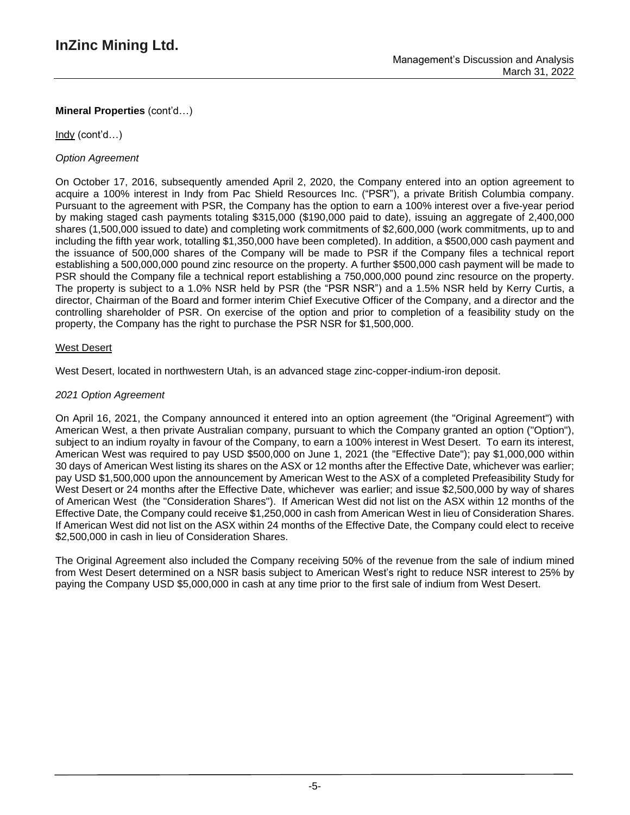Indy (cont'd…)

# *Option Agreement*

On October 17, 2016, subsequently amended April 2, 2020, the Company entered into an option agreement to acquire a 100% interest in Indy from Pac Shield Resources Inc. ("PSR"), a private British Columbia company. Pursuant to the agreement with PSR, the Company has the option to earn a 100% interest over a five-year period by making staged cash payments totaling \$315,000 (\$190,000 paid to date), issuing an aggregate of 2,400,000 shares (1,500,000 issued to date) and completing work commitments of \$2,600,000 (work commitments, up to and including the fifth year work, totalling \$1,350,000 have been completed). In addition, a \$500,000 cash payment and the issuance of 500,000 shares of the Company will be made to PSR if the Company files a technical report establishing a 500,000,000 pound zinc resource on the property. A further \$500,000 cash payment will be made to PSR should the Company file a technical report establishing a 750,000,000 pound zinc resource on the property. The property is subject to a 1.0% NSR held by PSR (the "PSR NSR") and a 1.5% NSR held by Kerry Curtis, a director, Chairman of the Board and former interim Chief Executive Officer of the Company, and a director and the controlling shareholder of PSR. On exercise of the option and prior to completion of a feasibility study on the property, the Company has the right to purchase the PSR NSR for \$1,500,000.

# West Desert

West Desert, located in northwestern Utah, is an advanced stage zinc-copper-indium-iron deposit.

# *2021 Option Agreement*

On April 16, 2021, the Company announced it entered into an option agreement (the "Original Agreement") with American West, a then private Australian company, pursuant to which the Company granted an option ("Option"), subject to an indium royalty in favour of the Company, to earn a 100% interest in West Desert. To earn its interest, American West was required to pay USD \$500,000 on June 1, 2021 (the "Effective Date"); pay \$1,000,000 within 30 days of American West listing its shares on the ASX or 12 months after the Effective Date, whichever was earlier; pay USD \$1,500,000 upon the announcement by American West to the ASX of a completed Prefeasibility Study for West Desert or 24 months after the Effective Date, whichever was earlier; and issue \$2,500,000 by way of shares of American West (the "Consideration Shares"). If American West did not list on the ASX within 12 months of the Effective Date, the Company could receive \$1,250,000 in cash from American West in lieu of Consideration Shares. If American West did not list on the ASX within 24 months of the Effective Date, the Company could elect to receive \$2,500,000 in cash in lieu of Consideration Shares.

The Original Agreement also included the Company receiving 50% of the revenue from the sale of indium mined from West Desert determined on a NSR basis subject to American West's right to reduce NSR interest to 25% by paying the Company USD \$5,000,000 in cash at any time prior to the first sale of indium from West Desert.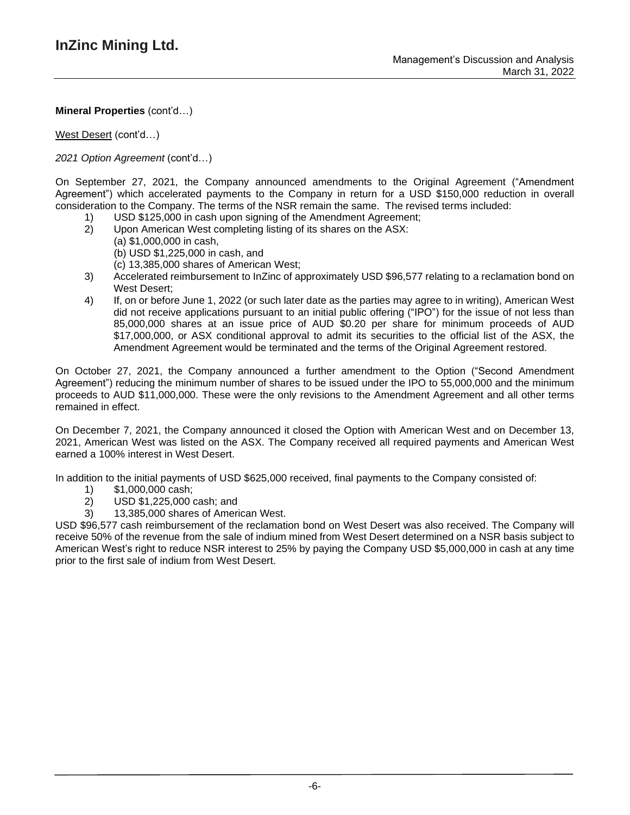West Desert (cont'd…)

*2021 Option Agreement* (cont'd…)

On September 27, 2021, the Company announced amendments to the Original Agreement ("Amendment Agreement") which accelerated payments to the Company in return for a USD \$150,000 reduction in overall consideration to the Company. The terms of the NSR remain the same. The revised terms included:

- 1) USD \$125,000 in cash upon signing of the Amendment Agreement;
- 2) Upon American West completing listing of its shares on the ASX:
	- (a) \$1,000,000 in cash, (b) USD \$1,225,000 in cash, and
		- (c) 13,385,000 shares of American West;
- 3) Accelerated reimbursement to InZinc of approximately USD \$96,577 relating to a reclamation bond on West Desert;
- 4) If, on or before June 1, 2022 (or such later date as the parties may agree to in writing), American West did not receive applications pursuant to an initial public offering ("IPO") for the issue of not less than 85,000,000 shares at an issue price of AUD \$0.20 per share for minimum proceeds of AUD \$17,000,000, or ASX conditional approval to admit its securities to the official list of the ASX, the Amendment Agreement would be terminated and the terms of the Original Agreement restored.

On October 27, 2021, the Company announced a further amendment to the Option ("Second Amendment Agreement") reducing the minimum number of shares to be issued under the IPO to 55,000,000 and the minimum proceeds to AUD \$11,000,000. These were the only revisions to the Amendment Agreement and all other terms remained in effect.

On December 7, 2021, the Company announced it closed the Option with American West and on December 13, 2021, American West was listed on the ASX. The Company received all required payments and American West earned a 100% interest in West Desert.

In addition to the initial payments of USD \$625,000 received, final payments to the Company consisted of:

- 1) \$1,000,000 cash;
- 2) USD \$1,225,000 cash; and
- 3) 13,385,000 shares of American West.

USD \$96,577 cash reimbursement of the reclamation bond on West Desert was also received. The Company will receive 50% of the revenue from the sale of indium mined from West Desert determined on a NSR basis subject to American West's right to reduce NSR interest to 25% by paying the Company USD \$5,000,000 in cash at any time prior to the first sale of indium from West Desert.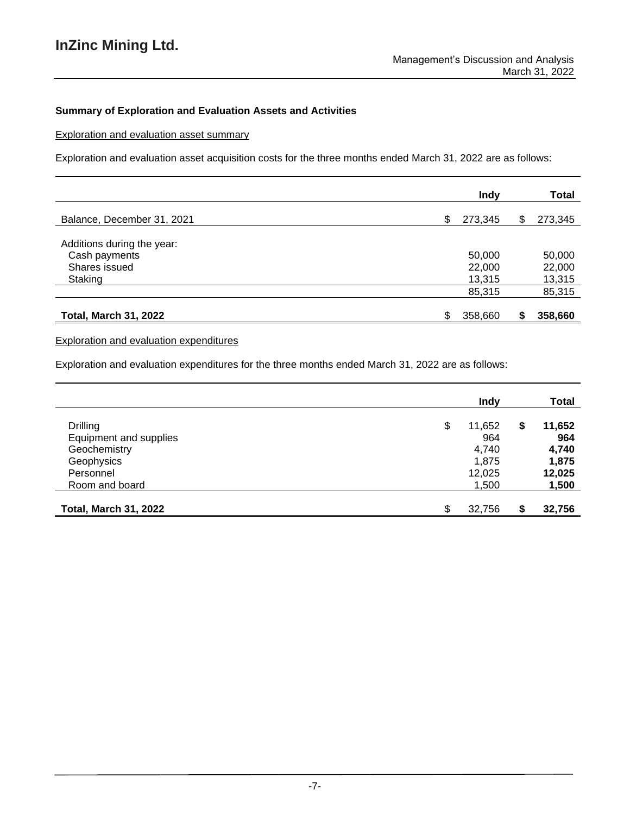# **Summary of Exploration and Evaluation Assets and Activities**

Exploration and evaluation asset summary

Exploration and evaluation asset acquisition costs for the three months ended March 31, 2022 are as follows:

|                              | <b>Indy</b>   |   | Total   |
|------------------------------|---------------|---|---------|
| Balance, December 31, 2021   | \$<br>273,345 | S | 273,345 |
| Additions during the year:   |               |   |         |
| Cash payments                | 50,000        |   | 50,000  |
| Shares issued                | 22,000        |   | 22,000  |
| Staking                      | 13,315        |   | 13,315  |
|                              | 85,315        |   | 85,315  |
| <b>Total, March 31, 2022</b> | \$<br>358,660 | S | 358,660 |

# Exploration and evaluation expenditures

Exploration and evaluation expenditures for the three months ended March 31, 2022 are as follows:

|                              | <b>Indy</b>  |    | Total  |
|------------------------------|--------------|----|--------|
| <b>Drilling</b>              | \$<br>11,652 | \$ | 11,652 |
| Equipment and supplies       | 964          |    | 964    |
| Geochemistry                 | 4,740        |    | 4,740  |
| Geophysics                   | 1,875        |    | 1,875  |
| Personnel                    | 12,025       |    | 12,025 |
| Room and board               | 1,500        |    | 1,500  |
| <b>Total, March 31, 2022</b> | ደ<br>32,756  | S  | 32,756 |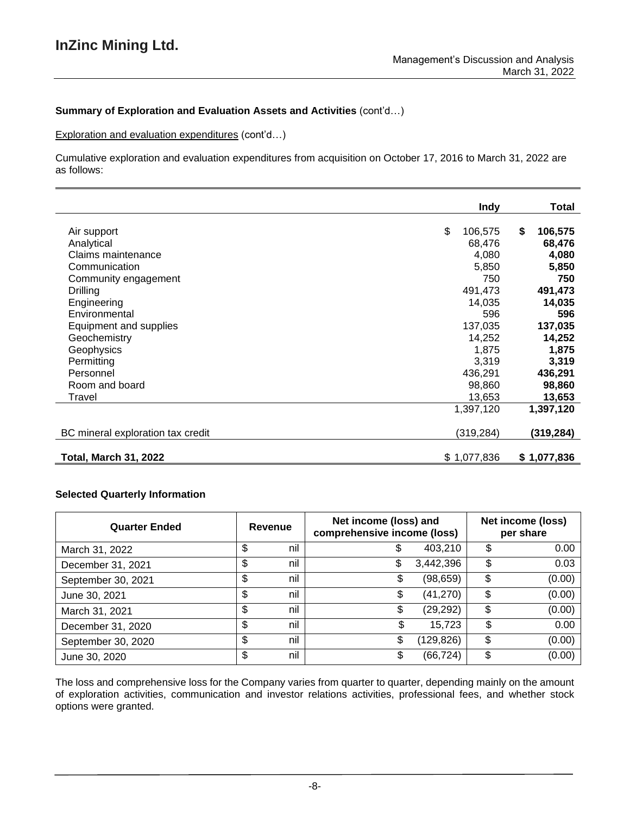# **Summary of Exploration and Evaluation Assets and Activities** (cont'd…)

Exploration and evaluation expenditures (cont'd…)

Cumulative exploration and evaluation expenditures from acquisition on October 17, 2016 to March 31, 2022 are as follows:

|                                   | <b>Indy</b>   | Total         |
|-----------------------------------|---------------|---------------|
| Air support                       | \$<br>106,575 | \$<br>106,575 |
| Analytical                        | 68,476        | 68,476        |
| Claims maintenance                | 4,080         | 4,080         |
| Communication                     | 5,850         | 5,850         |
| Community engagement              | 750           | 750           |
| Drilling                          | 491,473       | 491,473       |
| Engineering                       | 14,035        | 14,035        |
| Environmental                     | 596           | 596           |
| Equipment and supplies            | 137,035       | 137,035       |
| Geochemistry                      | 14,252        | 14,252        |
| Geophysics                        | 1,875         | 1,875         |
| Permitting                        | 3,319         | 3,319         |
| Personnel                         | 436,291       | 436,291       |
| Room and board                    | 98,860        | 98,860        |
| Travel                            | 13,653        | 13,653        |
|                                   | 1,397,120     | 1,397,120     |
| BC mineral exploration tax credit | (319, 284)    | (319,284)     |
| <b>Total, March 31, 2022</b>      | \$1,077,836   | \$1,077,836   |

# **Selected Quarterly Information**

| <b>Quarter Ended</b> | Revenue   | Net income (loss) and<br>comprehensive income (loss) |           | Net income (loss)<br>per share |
|----------------------|-----------|------------------------------------------------------|-----------|--------------------------------|
| March 31, 2022       | \$<br>nil | \$                                                   | 403,210   | \$<br>0.00                     |
| December 31, 2021    | \$<br>nil | \$                                                   | 3,442,396 | \$<br>0.03                     |
| September 30, 2021   | \$<br>nil | \$                                                   | (98,659)  | \$<br>(0.00)                   |
| June 30, 2021        | \$<br>nil | \$                                                   | (41, 270) | \$<br>(0.00)                   |
| March 31, 2021       | \$<br>nil | \$                                                   | (29, 292) | \$<br>(0.00)                   |
| December 31, 2020    | \$<br>nil | ง                                                    | 15,723    | \$<br>0.00                     |
| September 30, 2020   | \$<br>nil | \$                                                   | (129,826) | \$<br>(0.00)                   |
| June 30, 2020        | \$<br>nil | S                                                    | (66, 724) | \$<br>(0.00)                   |

The loss and comprehensive loss for the Company varies from quarter to quarter, depending mainly on the amount of exploration activities, communication and investor relations activities, professional fees, and whether stock options were granted.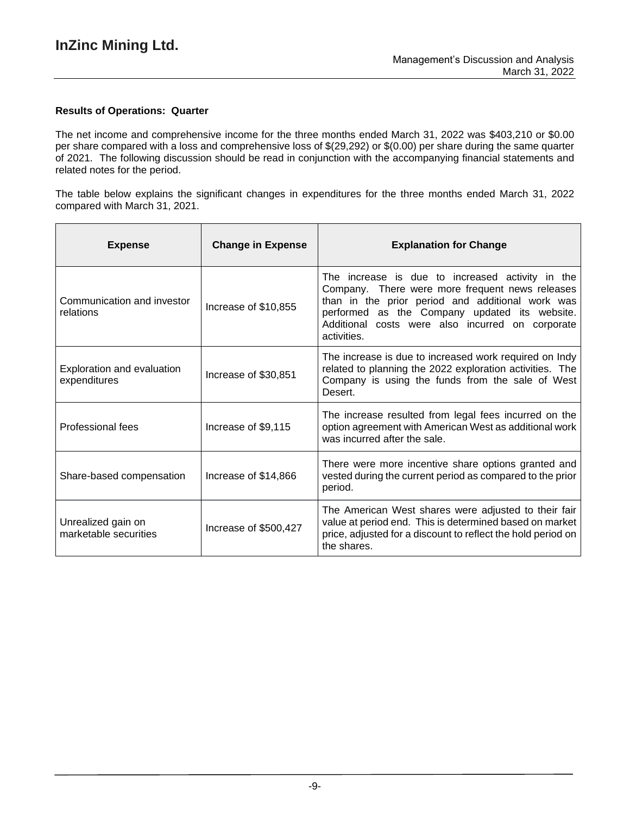# **Results of Operations: Quarter**

The net income and comprehensive income for the three months ended March 31, 2022 was \$403,210 or \$0.00 per share compared with a loss and comprehensive loss of \$(29,292) or \$(0.00) per share during the same quarter of 2021. The following discussion should be read in conjunction with the accompanying financial statements and related notes for the period.

The table below explains the significant changes in expenditures for the three months ended March 31, 2022 compared with March 31, 2021.

| <b>Expense</b>                              | <b>Change in Expense</b> | <b>Explanation for Change</b>                                                                                                                                                                                                                                               |
|---------------------------------------------|--------------------------|-----------------------------------------------------------------------------------------------------------------------------------------------------------------------------------------------------------------------------------------------------------------------------|
| Communication and investor<br>relations     | Increase of \$10,855     | The increase is due to increased activity in the<br>Company. There were more frequent news releases<br>than in the prior period and additional work was<br>performed as the Company updated its website.<br>Additional costs were also incurred on corporate<br>activities. |
| Exploration and evaluation<br>expenditures  | Increase of \$30,851     | The increase is due to increased work required on Indy<br>related to planning the 2022 exploration activities. The<br>Company is using the funds from the sale of West<br>Desert.                                                                                           |
| Professional fees                           | Increase of \$9,115      | The increase resulted from legal fees incurred on the<br>option agreement with American West as additional work<br>was incurred after the sale.                                                                                                                             |
| Share-based compensation                    | Increase of \$14,866     | There were more incentive share options granted and<br>vested during the current period as compared to the prior<br>period.                                                                                                                                                 |
| Unrealized gain on<br>marketable securities | Increase of \$500,427    | The American West shares were adjusted to their fair<br>value at period end. This is determined based on market<br>price, adjusted for a discount to reflect the hold period on<br>the shares.                                                                              |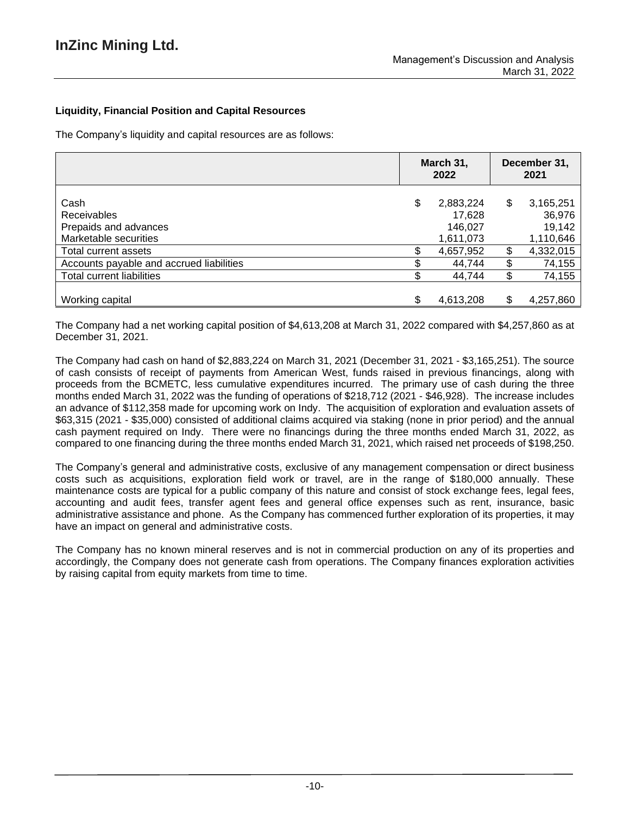# **Liquidity, Financial Position and Capital Resources**

The Company's liquidity and capital resources are as follows:

|                                                                              | March 31,<br>2022 |                                | December 31,<br>2021 |                               |
|------------------------------------------------------------------------------|-------------------|--------------------------------|----------------------|-------------------------------|
| Cash<br><b>Receivables</b><br>Prepaids and advances<br>Marketable securities | \$                | 2,883,224<br>17,628<br>146,027 | \$                   | 3,165,251<br>36,976<br>19,142 |
| Total current assets                                                         |                   | 1,611,073<br>4,657,952         | \$                   | 1,110,646<br>4,332,015        |
| Accounts payable and accrued liabilities<br><b>Total current liabilities</b> |                   | 44,744<br>44,744               | \$<br>\$             | 74,155<br>74,155              |
| Working capital                                                              |                   | 4,613,208                      | S                    | 4,257,860                     |

The Company had a net working capital position of \$4,613,208 at March 31, 2022 compared with \$4,257,860 as at December 31, 2021.

The Company had cash on hand of \$2,883,224 on March 31, 2021 (December 31, 2021 - \$3,165,251). The source of cash consists of receipt of payments from American West, funds raised in previous financings, along with proceeds from the BCMETC, less cumulative expenditures incurred. The primary use of cash during the three months ended March 31, 2022 was the funding of operations of \$218,712 (2021 - \$46,928). The increase includes an advance of \$112,358 made for upcoming work on Indy. The acquisition of exploration and evaluation assets of \$63,315 (2021 - \$35,000) consisted of additional claims acquired via staking (none in prior period) and the annual cash payment required on Indy. There were no financings during the three months ended March 31, 2022, as compared to one financing during the three months ended March 31, 2021, which raised net proceeds of \$198,250.

The Company's general and administrative costs, exclusive of any management compensation or direct business costs such as acquisitions, exploration field work or travel, are in the range of \$180,000 annually. These maintenance costs are typical for a public company of this nature and consist of stock exchange fees, legal fees, accounting and audit fees, transfer agent fees and general office expenses such as rent, insurance, basic administrative assistance and phone. As the Company has commenced further exploration of its properties, it may have an impact on general and administrative costs.

The Company has no known mineral reserves and is not in commercial production on any of its properties and accordingly, the Company does not generate cash from operations. The Company finances exploration activities by raising capital from equity markets from time to time.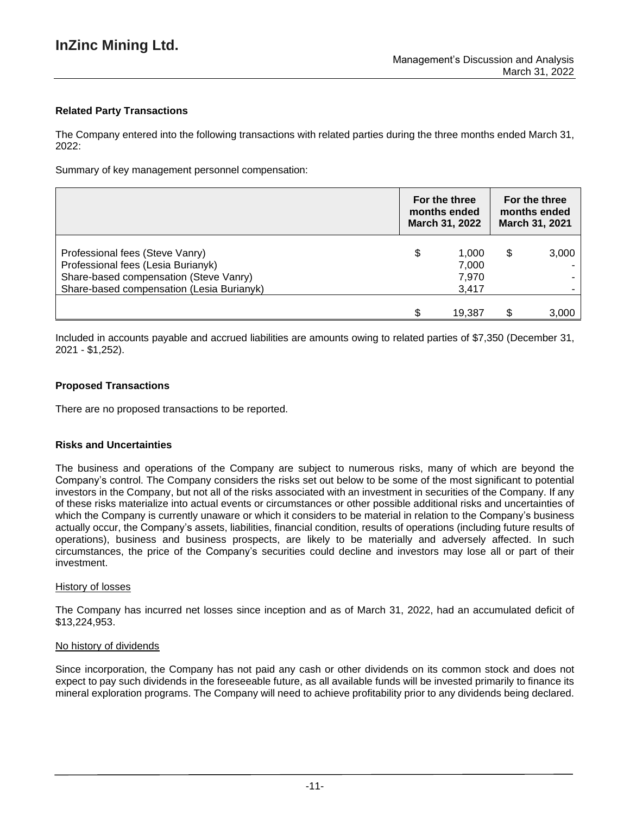# **Related Party Transactions**

The Company entered into the following transactions with related parties during the three months ended March 31, 2022:

Summary of key management personnel compensation:

|                                                                                                                                                              | For the three<br>months ended<br>March 31, 2022 |                                  | For the three<br>months ended<br>March 31, 2021 |       |
|--------------------------------------------------------------------------------------------------------------------------------------------------------------|-------------------------------------------------|----------------------------------|-------------------------------------------------|-------|
| Professional fees (Steve Vanry)<br>Professional fees (Lesia Burianyk)<br>Share-based compensation (Steve Vanry)<br>Share-based compensation (Lesia Burianyk) | \$                                              | 1.000<br>7,000<br>7,970<br>3,417 | S                                               | 3,000 |
|                                                                                                                                                              | ¢                                               | 19.387                           |                                                 | 3,000 |

Included in accounts payable and accrued liabilities are amounts owing to related parties of \$7,350 (December 31, 2021 - \$1,252).

# **Proposed Transactions**

There are no proposed transactions to be reported.

## **Risks and Uncertainties**

The business and operations of the Company are subject to numerous risks, many of which are beyond the Company's control. The Company considers the risks set out below to be some of the most significant to potential investors in the Company, but not all of the risks associated with an investment in securities of the Company. If any of these risks materialize into actual events or circumstances or other possible additional risks and uncertainties of which the Company is currently unaware or which it considers to be material in relation to the Company's business actually occur, the Company's assets, liabilities, financial condition, results of operations (including future results of operations), business and business prospects, are likely to be materially and adversely affected. In such circumstances, the price of the Company's securities could decline and investors may lose all or part of their investment.

## History of losses

The Company has incurred net losses since inception and as of March 31, 2022, had an accumulated deficit of \$13,224,953.

## No history of dividends

Since incorporation, the Company has not paid any cash or other dividends on its common stock and does not expect to pay such dividends in the foreseeable future, as all available funds will be invested primarily to finance its mineral exploration programs. The Company will need to achieve profitability prior to any dividends being declared.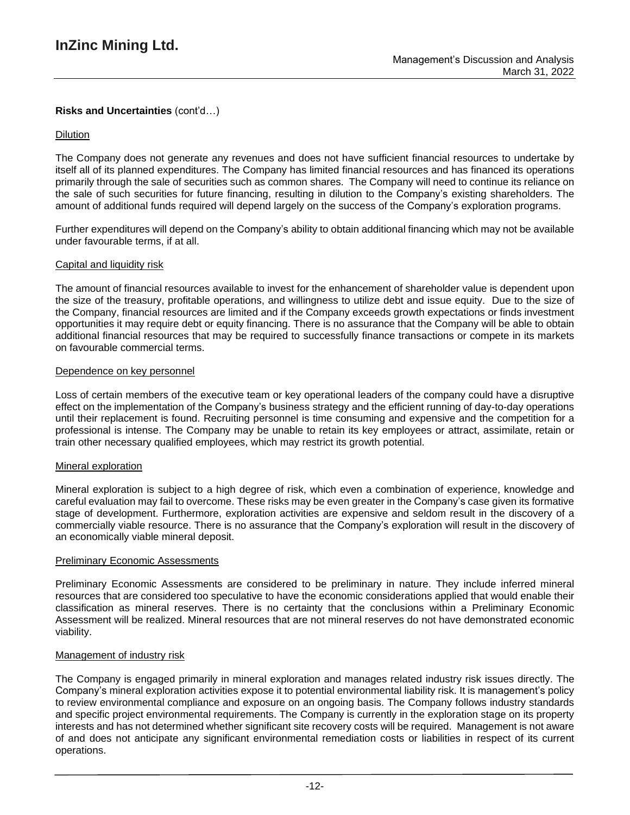# **Risks and Uncertainties** (cont'd…)

# Dilution

The Company does not generate any revenues and does not have sufficient financial resources to undertake by itself all of its planned expenditures. The Company has limited financial resources and has financed its operations primarily through the sale of securities such as common shares. The Company will need to continue its reliance on the sale of such securities for future financing, resulting in dilution to the Company's existing shareholders. The amount of additional funds required will depend largely on the success of the Company's exploration programs.

Further expenditures will depend on the Company's ability to obtain additional financing which may not be available under favourable terms, if at all.

## Capital and liquidity risk

The amount of financial resources available to invest for the enhancement of shareholder value is dependent upon the size of the treasury, profitable operations, and willingness to utilize debt and issue equity. Due to the size of the Company, financial resources are limited and if the Company exceeds growth expectations or finds investment opportunities it may require debt or equity financing. There is no assurance that the Company will be able to obtain additional financial resources that may be required to successfully finance transactions or compete in its markets on favourable commercial terms.

#### Dependence on key personnel

Loss of certain members of the executive team or key operational leaders of the company could have a disruptive effect on the implementation of the Company's business strategy and the efficient running of day-to-day operations until their replacement is found. Recruiting personnel is time consuming and expensive and the competition for a professional is intense. The Company may be unable to retain its key employees or attract, assimilate, retain or train other necessary qualified employees, which may restrict its growth potential.

## Mineral exploration

Mineral exploration is subject to a high degree of risk, which even a combination of experience, knowledge and careful evaluation may fail to overcome. These risks may be even greater in the Company's case given its formative stage of development. Furthermore, exploration activities are expensive and seldom result in the discovery of a commercially viable resource. There is no assurance that the Company's exploration will result in the discovery of an economically viable mineral deposit.

## Preliminary Economic Assessments

Preliminary Economic Assessments are considered to be preliminary in nature. They include inferred mineral resources that are considered too speculative to have the economic considerations applied that would enable their classification as mineral reserves. There is no certainty that the conclusions within a Preliminary Economic Assessment will be realized. Mineral resources that are not mineral reserves do not have demonstrated economic viability.

## Management of industry risk

The Company is engaged primarily in mineral exploration and manages related industry risk issues directly. The Company's mineral exploration activities expose it to potential environmental liability risk. It is management's policy to review environmental compliance and exposure on an ongoing basis. The Company follows industry standards and specific project environmental requirements. The Company is currently in the exploration stage on its property interests and has not determined whether significant site recovery costs will be required. Management is not aware of and does not anticipate any significant environmental remediation costs or liabilities in respect of its current operations.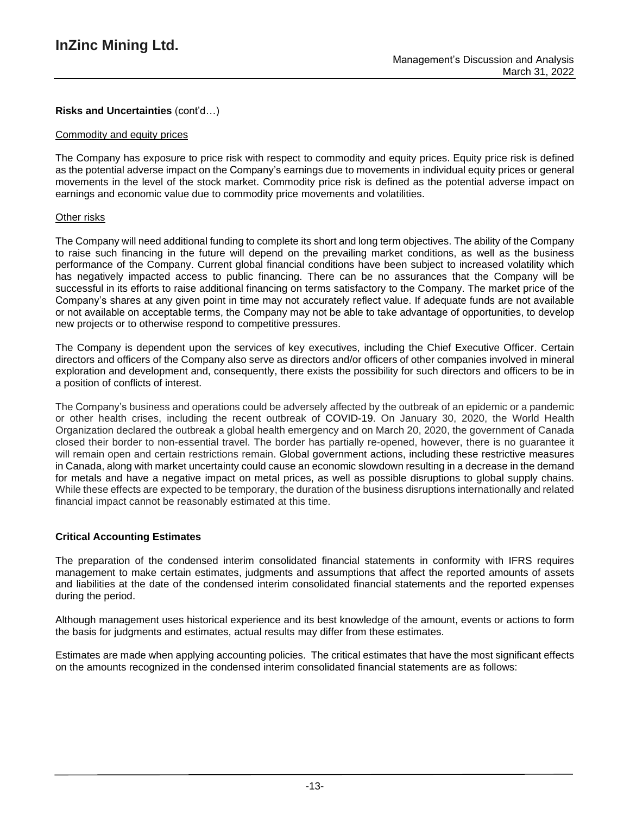# **Risks and Uncertainties** (cont'd…)

#### Commodity and equity prices

The Company has exposure to price risk with respect to commodity and equity prices. Equity price risk is defined as the potential adverse impact on the Company's earnings due to movements in individual equity prices or general movements in the level of the stock market. Commodity price risk is defined as the potential adverse impact on earnings and economic value due to commodity price movements and volatilities.

#### Other risks

The Company will need additional funding to complete its short and long term objectives. The ability of the Company to raise such financing in the future will depend on the prevailing market conditions, as well as the business performance of the Company. Current global financial conditions have been subject to increased volatility which has negatively impacted access to public financing. There can be no assurances that the Company will be successful in its efforts to raise additional financing on terms satisfactory to the Company. The market price of the Company's shares at any given point in time may not accurately reflect value. If adequate funds are not available or not available on acceptable terms, the Company may not be able to take advantage of opportunities, to develop new projects or to otherwise respond to competitive pressures.

The Company is dependent upon the services of key executives, including the Chief Executive Officer. Certain directors and officers of the Company also serve as directors and/or officers of other companies involved in mineral exploration and development and, consequently, there exists the possibility for such directors and officers to be in a position of conflicts of interest.

The Company's business and operations could be adversely affected by the outbreak of an epidemic or a pandemic or other health crises, including the recent outbreak of COVID-19. On January 30, 2020, the World Health Organization declared the outbreak a global health emergency and on March 20, 2020, the government of Canada closed their border to non-essential travel. The border has partially re-opened, however, there is no guarantee it will remain open and certain restrictions remain. Global government actions, including these restrictive measures in Canada, along with market uncertainty could cause an economic slowdown resulting in a decrease in the demand for metals and have a negative impact on metal prices, as well as possible disruptions to global supply chains. While these effects are expected to be temporary, the duration of the business disruptions internationally and related financial impact cannot be reasonably estimated at this time.

## **Critical Accounting Estimates**

The preparation of the condensed interim consolidated financial statements in conformity with IFRS requires management to make certain estimates, judgments and assumptions that affect the reported amounts of assets and liabilities at the date of the condensed interim consolidated financial statements and the reported expenses during the period.

Although management uses historical experience and its best knowledge of the amount, events or actions to form the basis for judgments and estimates, actual results may differ from these estimates.

Estimates are made when applying accounting policies. The critical estimates that have the most significant effects on the amounts recognized in the condensed interim consolidated financial statements are as follows: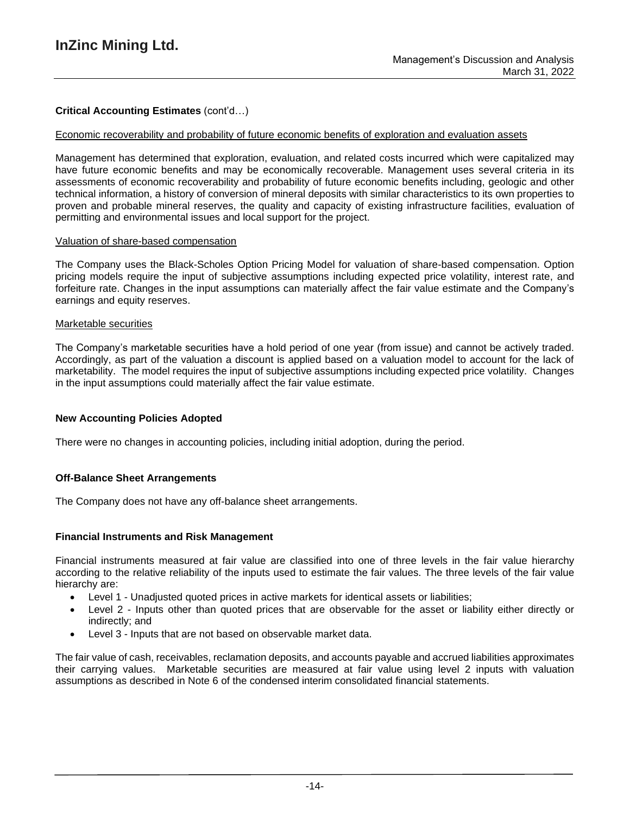# **Critical Accounting Estimates** (cont'd…)

#### Economic recoverability and probability of future economic benefits of exploration and evaluation assets

Management has determined that exploration, evaluation, and related costs incurred which were capitalized may have future economic benefits and may be economically recoverable. Management uses several criteria in its assessments of economic recoverability and probability of future economic benefits including, geologic and other technical information, a history of conversion of mineral deposits with similar characteristics to its own properties to proven and probable mineral reserves, the quality and capacity of existing infrastructure facilities, evaluation of permitting and environmental issues and local support for the project.

#### Valuation of share-based compensation

The Company uses the Black-Scholes Option Pricing Model for valuation of share-based compensation. Option pricing models require the input of subjective assumptions including expected price volatility, interest rate, and forfeiture rate. Changes in the input assumptions can materially affect the fair value estimate and the Company's earnings and equity reserves.

#### Marketable securities

The Company's marketable securities have a hold period of one year (from issue) and cannot be actively traded. Accordingly, as part of the valuation a discount is applied based on a valuation model to account for the lack of marketability. The model requires the input of subjective assumptions including expected price volatility. Changes in the input assumptions could materially affect the fair value estimate.

## **New Accounting Policies Adopted**

There were no changes in accounting policies, including initial adoption, during the period.

## **Off-Balance Sheet Arrangements**

The Company does not have any off-balance sheet arrangements.

#### **Financial Instruments and Risk Management**

Financial instruments measured at fair value are classified into one of three levels in the fair value hierarchy according to the relative reliability of the inputs used to estimate the fair values. The three levels of the fair value hierarchy are:

- Level 1 Unadjusted quoted prices in active markets for identical assets or liabilities;
- Level 2 Inputs other than quoted prices that are observable for the asset or liability either directly or indirectly; and
- Level 3 Inputs that are not based on observable market data.

The fair value of cash, receivables, reclamation deposits, and accounts payable and accrued liabilities approximates their carrying values. Marketable securities are measured at fair value using level 2 inputs with valuation assumptions as described in Note 6 of the condensed interim consolidated financial statements.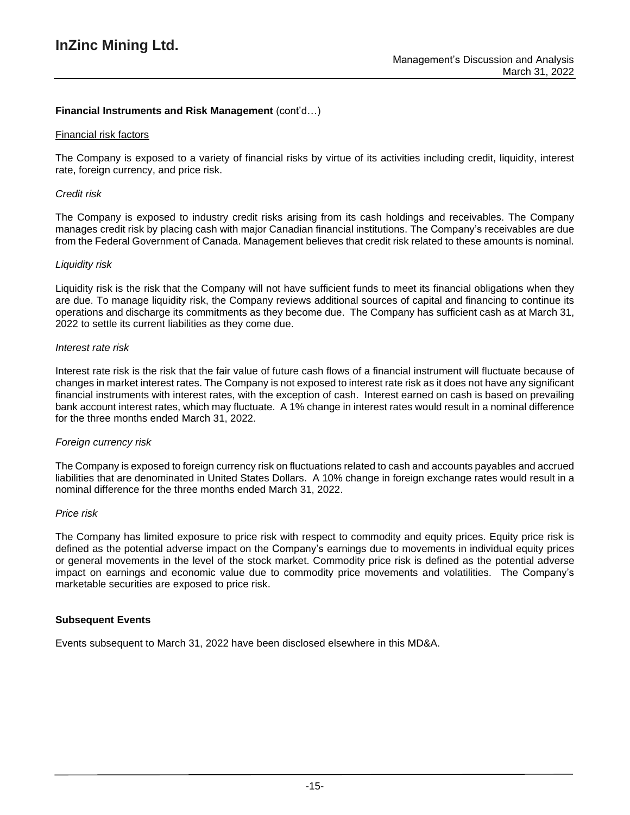# **Financial Instruments and Risk Management** (cont'd…)

#### Financial risk factors

The Company is exposed to a variety of financial risks by virtue of its activities including credit, liquidity, interest rate, foreign currency, and price risk.

#### *Credit risk*

The Company is exposed to industry credit risks arising from its cash holdings and receivables. The Company manages credit risk by placing cash with major Canadian financial institutions. The Company's receivables are due from the Federal Government of Canada. Management believes that credit risk related to these amounts is nominal.

#### *Liquidity risk*

Liquidity risk is the risk that the Company will not have sufficient funds to meet its financial obligations when they are due. To manage liquidity risk, the Company reviews additional sources of capital and financing to continue its operations and discharge its commitments as they become due. The Company has sufficient cash as at March 31, 2022 to settle its current liabilities as they come due.

#### *Interest rate risk*

Interest rate risk is the risk that the fair value of future cash flows of a financial instrument will fluctuate because of changes in market interest rates. The Company is not exposed to interest rate risk as it does not have any significant financial instruments with interest rates, with the exception of cash. Interest earned on cash is based on prevailing bank account interest rates, which may fluctuate. A 1% change in interest rates would result in a nominal difference for the three months ended March 31, 2022.

## *Foreign currency risk*

The Company is exposed to foreign currency risk on fluctuations related to cash and accounts payables and accrued liabilities that are denominated in United States Dollars. A 10% change in foreign exchange rates would result in a nominal difference for the three months ended March 31, 2022.

#### *Price risk*

The Company has limited exposure to price risk with respect to commodity and equity prices. Equity price risk is defined as the potential adverse impact on the Company's earnings due to movements in individual equity prices or general movements in the level of the stock market. Commodity price risk is defined as the potential adverse impact on earnings and economic value due to commodity price movements and volatilities. The Company's marketable securities are exposed to price risk.

## **Subsequent Events**

Events subsequent to March 31, 2022 have been disclosed elsewhere in this MD&A.